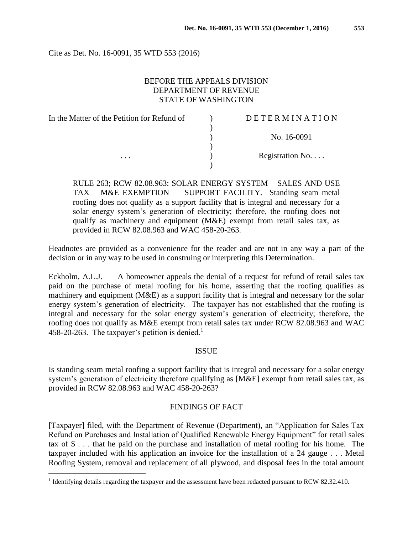Cite as Det. No. 16-0091, 35 WTD 553 (2016)

## BEFORE THE APPEALS DIVISION DEPARTMENT OF REVENUE STATE OF WASHINGTON

| In the Matter of the Petition for Refund of | DETERMINATION   |
|---------------------------------------------|-----------------|
|                                             |                 |
|                                             | No. 16-0091     |
|                                             |                 |
| $\cdots$                                    | Registration No |
|                                             |                 |

RULE 263; RCW 82.08.963: SOLAR ENERGY SYSTEM – SALES AND USE TAX – M&E EXEMPTION — SUPPORT FACILITY. Standing seam metal roofing does not qualify as a support facility that is integral and necessary for a solar energy system's generation of electricity; therefore, the roofing does not qualify as machinery and equipment (M&E) exempt from retail sales tax, as provided in RCW 82.08.963 and WAC 458-20-263.

Headnotes are provided as a convenience for the reader and are not in any way a part of the decision or in any way to be used in construing or interpreting this Determination.

Eckholm, A.L.J. – A homeowner appeals the denial of a request for refund of retail sales tax paid on the purchase of metal roofing for his home, asserting that the roofing qualifies as machinery and equipment (M&E) as a support facility that is integral and necessary for the solar energy system's generation of electricity. The taxpayer has not established that the roofing is integral and necessary for the solar energy system's generation of electricity; therefore, the roofing does not qualify as M&E exempt from retail sales tax under RCW 82.08.963 and WAC 458-20-263. The taxpayer's petition is denied.<sup>1</sup>

### **ISSUE**

Is standing seam metal roofing a support facility that is integral and necessary for a solar energy system's generation of electricity therefore qualifying as [M&E] exempt from retail sales tax, as provided in RCW 82.08.963 and WAC 458-20-263?

### FINDINGS OF FACT

[Taxpayer] filed, with the Department of Revenue (Department), an "Application for Sales Tax Refund on Purchases and Installation of Qualified Renewable Energy Equipment" for retail sales tax of \$ . . . that he paid on the purchase and installation of metal roofing for his home. The taxpayer included with his application an invoice for the installation of a 24 gauge . . . Metal Roofing System, removal and replacement of all plywood, and disposal fees in the total amount

 $\overline{a}$ 

<sup>&</sup>lt;sup>1</sup> Identifying details regarding the taxpayer and the assessment have been redacted pursuant to RCW 82.32.410.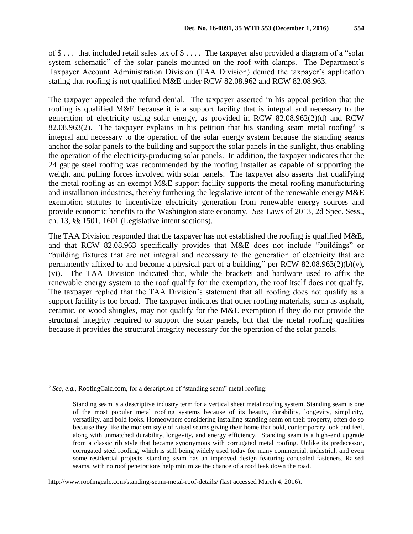of \$ . . . that included retail sales tax of \$ . . . . The taxpayer also provided a diagram of a "solar system schematic" of the solar panels mounted on the roof with clamps. The Department's Taxpayer Account Administration Division (TAA Division) denied the taxpayer's application stating that roofing is not qualified M&E under RCW 82.08.962 and RCW 82.08.963.

The taxpayer appealed the refund denial. The taxpayer asserted in his appeal petition that the roofing is qualified M&E because it is a support facility that is integral and necessary to the generation of electricity using solar energy, as provided in RCW 82.08.962(2)(d) and RCW 82.08.963(2). The taxpayer explains in his petition that his standing seam metal roofing<sup>2</sup> is integral and necessary to the operation of the solar energy system because the standing seams anchor the solar panels to the building and support the solar panels in the sunlight, thus enabling the operation of the electricity-producing solar panels. In addition, the taxpayer indicates that the 24 gauge steel roofing was recommended by the roofing installer as capable of supporting the weight and pulling forces involved with solar panels. The taxpayer also asserts that qualifying the metal roofing as an exempt M&E support facility supports the metal roofing manufacturing and installation industries, thereby furthering the legislative intent of the renewable energy M&E exemption statutes to incentivize electricity generation from renewable energy sources and provide economic benefits to the Washington state economy. *See* Laws of 2013, 2d Spec. Sess., ch. 13, §§ 1501, 1601 (Legislative intent sections).

The TAA Division responded that the taxpayer has not established the roofing is qualified M&E, and that RCW 82.08.963 specifically provides that M&E does not include "buildings" or "building fixtures that are not integral and necessary to the generation of electricity that are permanently affixed to and become a physical part of a building," per RCW 82.08.963(2)(b)(v), (vi). The TAA Division indicated that, while the brackets and hardware used to affix the renewable energy system to the roof qualify for the exemption, the roof itself does not qualify. The taxpayer replied that the TAA Division's statement that all roofing does not qualify as a support facility is too broad. The taxpayer indicates that other roofing materials, such as asphalt, ceramic, or wood shingles, may not qualify for the M&E exemption if they do not provide the structural integrity required to support the solar panels, but that the metal roofing qualifies because it provides the structural integrity necessary for the operation of the solar panels.

 $\overline{a}$ 

http://www.roofingcalc.com/standing-seam-metal-roof-details/ (last accessed March 4, 2016).

<sup>2</sup> *See, e.g.,* RoofingCalc.com, for a description of "standing seam" metal roofing:

Standing seam is a descriptive industry term for a vertical sheet metal roofing system. Standing seam is one of the most popular metal roofing systems because of its beauty, durability, longevity, simplicity, versatility, and bold looks. Homeowners considering installing standing seam on their property, often do so because they like the modern style of raised seams giving their home that bold, contemporary look and feel, along with unmatched durability, longevity, and energy efficiency. Standing seam is a high-end upgrade from a classic rib style that became synonymous with corrugated metal roofing. Unlike its predecessor, corrugated steel roofing, which is still being widely used today for many commercial, industrial, and even some residential projects, standing seam has an improved design featuring concealed fasteners. Raised seams, with no roof penetrations help minimize the chance of a roof leak down the road.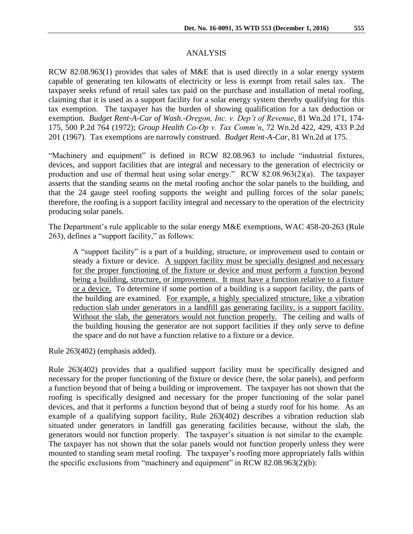#### ANALYSIS

RCW 82.08.963(1) provides that sales of M&E that is used directly in a solar energy system capable of generating ten kilowatts of electricity or less is exempt from retail sales tax. The taxpayer seeks refund of retail sales tax paid on the purchase and installation of metal roofing, claiming that it is used as a support facility for a solar energy system thereby qualifying for this tax exemption. The taxpayer has the burden of showing qualification for a tax deduction or exemption. *Budget Rent-A-Car of Wash.-Oregon, Inc. v. Dep't of Revenue*, 81 Wn.2d 171, 174- 175, 500 P.2d 764 (1972); *Group Health Co-Op v. Tax Comm'n*, 72 Wn.2d 422, 429, 433 P.2d 201 (1967). Tax exemptions are narrowly construed. *Budget Rent-A-Car*, 81 Wn.2d at 175.

"Machinery and equipment" is defined in RCW 82.08.963 to include "industrial fixtures, devices, and support facilities that are integral and necessary to the generation of electricity or production and use of thermal heat using solar energy." RCW 82.08.963(2)(a). The taxpayer asserts that the standing seams on the metal roofing anchor the solar panels to the building, and that the 24 gauge steel roofing supports the weight and pulling forces of the solar panels; therefore, the roofing is a support facility integral and necessary to the operation of the electricity producing solar panels.

The Department's rule applicable to the solar energy M&E exemptions, WAC 458-20-263 (Rule 263), defines a "support facility," as follows:

A "support facility" is a part of a building, structure, or improvement used to contain or steady a fixture or device. A support facility must be specially designed and necessary for the proper functioning of the fixture or device and must perform a function beyond being a building, structure, or improvement. It must have a function relative to a fixture or a device. To determine if some portion of a building is a support facility, the parts of the building are examined. For example, a highly specialized structure, like a vibration reduction slab under generators in a landfill gas generating facility, is a support facility. Without the slab, the generators would not function properly. The ceiling and walls of the building housing the generator are not support facilities if they only serve to define the space and do not have a function relative to a fixture or a device.

Rule 263(402) (emphasis added).

Rule 263(402) provides that a qualified support facility must be specifically designed and necessary for the proper functioning of the fixture or device (here, the solar panels), and perform a function beyond that of being a building or improvement. The taxpayer has not shown that the roofing is specifically designed and necessary for the proper functioning of the solar panel devices, and that it performs a function beyond that of being a sturdy roof for his home. As an example of a qualifying support facility, Rule 263(402) describes a vibration reduction slab situated under generators in landfill gas generating facilities because, without the slab, the generators would not function properly. The taxpayer's situation is not similar to the example. The taxpayer has not shown that the solar panels would not function properly unless they were mounted to standing seam metal roofing. The taxpayer's roofing more appropriately falls within the specific exclusions from "machinery and equipment" in RCW 82.08.963(2)(b):